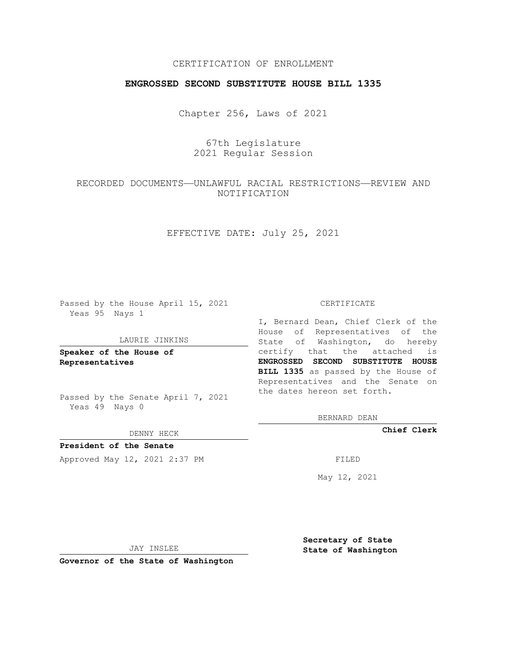### CERTIFICATION OF ENROLLMENT

### **ENGROSSED SECOND SUBSTITUTE HOUSE BILL 1335**

Chapter 256, Laws of 2021

67th Legislature 2021 Regular Session

# RECORDED DOCUMENTS—UNLAWFUL RACIAL RESTRICTIONS—REVIEW AND NOTIFICATION

EFFECTIVE DATE: July 25, 2021

Passed by the House April 15, 2021 Yeas 95 Nays 1

#### LAURIE JINKINS

**Speaker of the House of Representatives**

Passed by the Senate April 7, 2021 Yeas 49 Nays 0

DENNY HECK

**President of the Senate** Approved May 12, 2021 2:37 PM FILED

CERTIFICATE

I, Bernard Dean, Chief Clerk of the House of Representatives of the State of Washington, do hereby certify that the attached is **ENGROSSED SECOND SUBSTITUTE HOUSE BILL 1335** as passed by the House of Representatives and the Senate on the dates hereon set forth.

BERNARD DEAN

**Chief Clerk**

May 12, 2021

JAY INSLEE

**Governor of the State of Washington**

**Secretary of State State of Washington**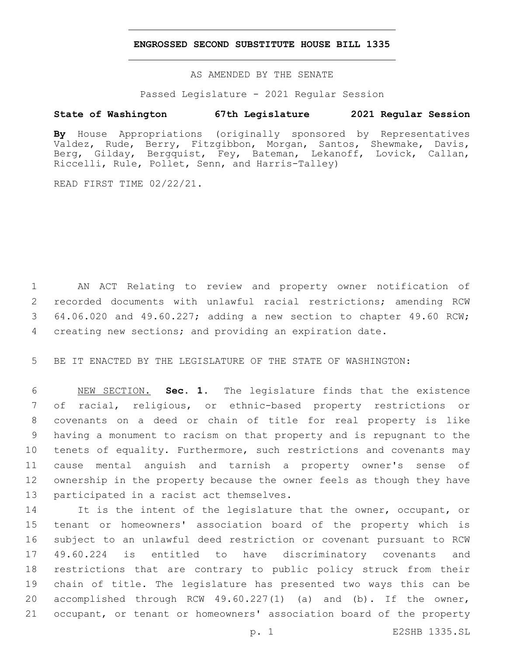### **ENGROSSED SECOND SUBSTITUTE HOUSE BILL 1335**

AS AMENDED BY THE SENATE

Passed Legislature - 2021 Regular Session

## **State of Washington 67th Legislature 2021 Regular Session**

**By** House Appropriations (originally sponsored by Representatives Valdez, Rude, Berry, Fitzgibbon, Morgan, Santos, Shewmake, Davis, Berg, Gilday, Bergquist, Fey, Bateman, Lekanoff, Lovick, Callan, Riccelli, Rule, Pollet, Senn, and Harris-Talley)

READ FIRST TIME 02/22/21.

 AN ACT Relating to review and property owner notification of recorded documents with unlawful racial restrictions; amending RCW 64.06.020 and 49.60.227; adding a new section to chapter 49.60 RCW; creating new sections; and providing an expiration date.

BE IT ENACTED BY THE LEGISLATURE OF THE STATE OF WASHINGTON:

 NEW SECTION. **Sec. 1.** The legislature finds that the existence of racial, religious, or ethnic-based property restrictions or covenants on a deed or chain of title for real property is like having a monument to racism on that property and is repugnant to the tenets of equality. Furthermore, such restrictions and covenants may cause mental anguish and tarnish a property owner's sense of ownership in the property because the owner feels as though they have participated in a racist act themselves.

14 It is the intent of the legislature that the owner, occupant, or tenant or homeowners' association board of the property which is subject to an unlawful deed restriction or covenant pursuant to RCW 49.60.224 is entitled to have discriminatory covenants and restrictions that are contrary to public policy struck from their chain of title. The legislature has presented two ways this can be 20 accomplished through RCW 49.60.227(1) (a) and (b). If the owner, occupant, or tenant or homeowners' association board of the property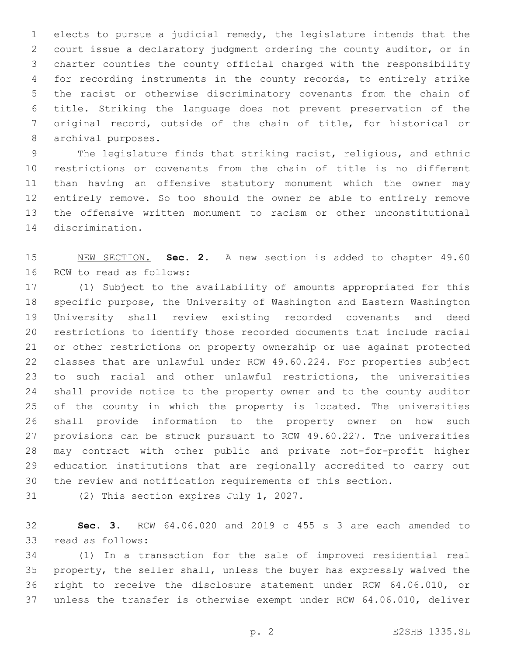elects to pursue a judicial remedy, the legislature intends that the court issue a declaratory judgment ordering the county auditor, or in charter counties the county official charged with the responsibility for recording instruments in the county records, to entirely strike the racist or otherwise discriminatory covenants from the chain of title. Striking the language does not prevent preservation of the original record, outside of the chain of title, for historical or 8 archival purposes.

 The legislature finds that striking racist, religious, and ethnic restrictions or covenants from the chain of title is no different than having an offensive statutory monument which the owner may entirely remove. So too should the owner be able to entirely remove the offensive written monument to racism or other unconstitutional 14 discrimination.

 NEW SECTION. **Sec. 2.** A new section is added to chapter 49.60 16 RCW to read as follows:

 (1) Subject to the availability of amounts appropriated for this specific purpose, the University of Washington and Eastern Washington University shall review existing recorded covenants and deed restrictions to identify those recorded documents that include racial or other restrictions on property ownership or use against protected classes that are unlawful under RCW 49.60.224. For properties subject to such racial and other unlawful restrictions, the universities shall provide notice to the property owner and to the county auditor 25 of the county in which the property is located. The universities shall provide information to the property owner on how such provisions can be struck pursuant to RCW 49.60.227. The universities may contract with other public and private not-for-profit higher education institutions that are regionally accredited to carry out the review and notification requirements of this section.

31 (2) This section expires July 1, 2027.

 **Sec. 3.** RCW 64.06.020 and 2019 c 455 s 3 are each amended to 33 read as follows:

 (1) In a transaction for the sale of improved residential real property, the seller shall, unless the buyer has expressly waived the right to receive the disclosure statement under RCW 64.06.010, or unless the transfer is otherwise exempt under RCW 64.06.010, deliver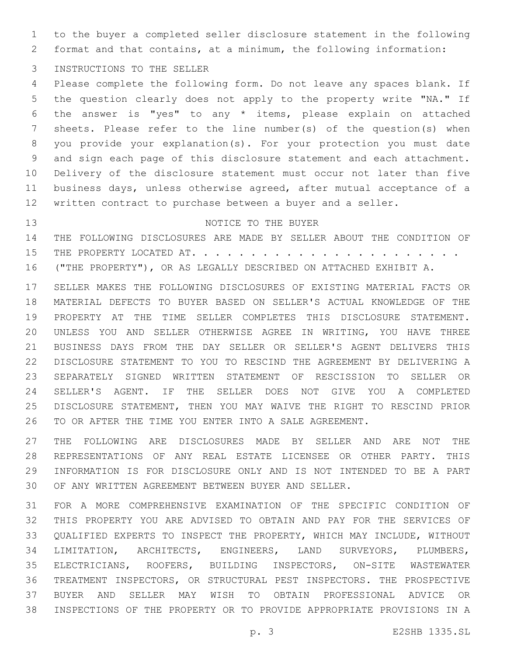to the buyer a completed seller disclosure statement in the following format and that contains, at a minimum, the following information:

3 INSTRUCTIONS TO THE SELLER

 Please complete the following form. Do not leave any spaces blank. If the question clearly does not apply to the property write "NA." If the answer is "yes" to any \* items, please explain on attached sheets. Please refer to the line number(s) of the question(s) when you provide your explanation(s). For your protection you must date and sign each page of this disclosure statement and each attachment. Delivery of the disclosure statement must occur not later than five business days, unless otherwise agreed, after mutual acceptance of a written contract to purchase between a buyer and a seller.

# 13 NOTICE TO THE BUYER

 THE FOLLOWING DISCLOSURES ARE MADE BY SELLER ABOUT THE CONDITION OF THE PROPERTY LOCATED AT. . . . . . . . . . . . . . . . . . . . . . . ("THE PROPERTY"), OR AS LEGALLY DESCRIBED ON ATTACHED EXHIBIT A.

 SELLER MAKES THE FOLLOWING DISCLOSURES OF EXISTING MATERIAL FACTS OR MATERIAL DEFECTS TO BUYER BASED ON SELLER'S ACTUAL KNOWLEDGE OF THE PROPERTY AT THE TIME SELLER COMPLETES THIS DISCLOSURE STATEMENT. UNLESS YOU AND SELLER OTHERWISE AGREE IN WRITING, YOU HAVE THREE BUSINESS DAYS FROM THE DAY SELLER OR SELLER'S AGENT DELIVERS THIS DISCLOSURE STATEMENT TO YOU TO RESCIND THE AGREEMENT BY DELIVERING A SEPARATELY SIGNED WRITTEN STATEMENT OF RESCISSION TO SELLER OR SELLER'S AGENT. IF THE SELLER DOES NOT GIVE YOU A COMPLETED DISCLOSURE STATEMENT, THEN YOU MAY WAIVE THE RIGHT TO RESCIND PRIOR TO OR AFTER THE TIME YOU ENTER INTO A SALE AGREEMENT.

 THE FOLLOWING ARE DISCLOSURES MADE BY SELLER AND ARE NOT THE REPRESENTATIONS OF ANY REAL ESTATE LICENSEE OR OTHER PARTY. THIS INFORMATION IS FOR DISCLOSURE ONLY AND IS NOT INTENDED TO BE A PART OF ANY WRITTEN AGREEMENT BETWEEN BUYER AND SELLER.

 FOR A MORE COMPREHENSIVE EXAMINATION OF THE SPECIFIC CONDITION OF THIS PROPERTY YOU ARE ADVISED TO OBTAIN AND PAY FOR THE SERVICES OF QUALIFIED EXPERTS TO INSPECT THE PROPERTY, WHICH MAY INCLUDE, WITHOUT LIMITATION, ARCHITECTS, ENGINEERS, LAND SURVEYORS, PLUMBERS, ELECTRICIANS, ROOFERS, BUILDING INSPECTORS, ON-SITE WASTEWATER TREATMENT INSPECTORS, OR STRUCTURAL PEST INSPECTORS. THE PROSPECTIVE BUYER AND SELLER MAY WISH TO OBTAIN PROFESSIONAL ADVICE OR INSPECTIONS OF THE PROPERTY OR TO PROVIDE APPROPRIATE PROVISIONS IN A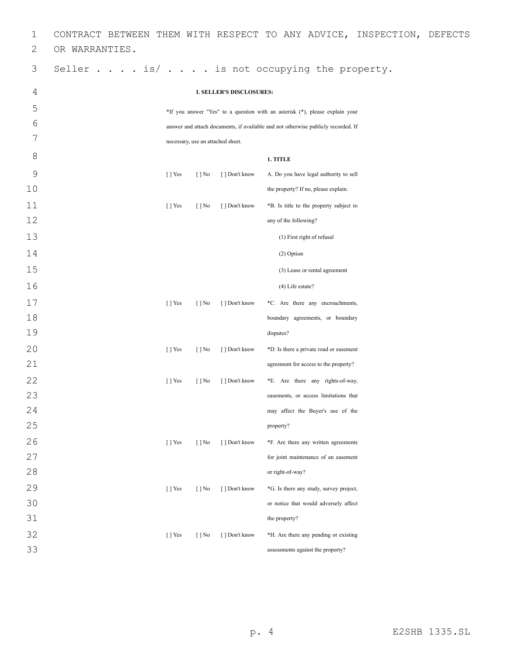| 1            |                                                                              |                           |                          |                                   | CONTRACT BETWEEN THEM WITH RESPECT TO ANY ADVICE, INSPECTION, DEFECTS             |  |  |
|--------------|------------------------------------------------------------------------------|---------------------------|--------------------------|-----------------------------------|-----------------------------------------------------------------------------------|--|--|
| $\mathbf{2}$ | OR WARRANTIES.                                                               |                           |                          |                                   |                                                                                   |  |  |
| 3            |                                                                              |                           |                          |                                   | Seller $\ldots$ is/ $\ldots$ is not occupying the property.                       |  |  |
| 4            |                                                                              |                           |                          | <b>I. SELLER'S DISCLOSURES:</b>   |                                                                                   |  |  |
| 5            | *If you answer "Yes" to a question with an asterisk (*), please explain your |                           |                          |                                   |                                                                                   |  |  |
| 6            |                                                                              |                           |                          |                                   | answer and attach documents, if available and not otherwise publicly recorded. If |  |  |
| 7            |                                                                              |                           |                          | necessary, use an attached sheet. |                                                                                   |  |  |
| 8            |                                                                              |                           |                          |                                   | 1. TITLE                                                                          |  |  |
| 9            |                                                                              | [ ] Yes                   | $\lceil \cdot \rceil$ No | [ ] Don't know                    | A. Do you have legal authority to sell                                            |  |  |
| 10           |                                                                              |                           |                          |                                   | the property? If no, please explain.                                              |  |  |
| 11           |                                                                              | $\lceil$   Yes            | $\lceil \cdot \rceil$ No | [] Don't know                     | *B. Is title to the property subject to                                           |  |  |
| 12           |                                                                              |                           |                          |                                   | any of the following?                                                             |  |  |
| 13           |                                                                              |                           |                          |                                   | (1) First right of refusal                                                        |  |  |
| 14           |                                                                              |                           |                          |                                   | (2) Option                                                                        |  |  |
| 15           |                                                                              |                           |                          |                                   | (3) Lease or rental agreement                                                     |  |  |
| 16           |                                                                              |                           |                          |                                   | (4) Life estate?                                                                  |  |  |
| 17           |                                                                              | [ ] Yes                   | $\lceil \cdot \rceil$ No | [ ] Don't know                    | *C. Are there any encroachments,                                                  |  |  |
| 18           |                                                                              |                           |                          |                                   | boundary agreements, or boundary                                                  |  |  |
| 19           |                                                                              |                           |                          |                                   | disputes?                                                                         |  |  |
| 20           |                                                                              | $\lceil$   Yes            | $\lceil \cdot \rceil$ No | [] Don't know                     | *D. Is there a private road or easement                                           |  |  |
| 21           |                                                                              |                           |                          |                                   | agreement for access to the property?                                             |  |  |
| 22           |                                                                              | [ ] Yes                   | $\lceil \cdot \rceil$ No | [] Don't know                     | *E. Are there any rights-of-way,                                                  |  |  |
| 23           |                                                                              |                           |                          |                                   | easements, or access limitations that                                             |  |  |
| 24           |                                                                              |                           |                          |                                   | may affect the Buyer's use of the                                                 |  |  |
| 25           |                                                                              |                           |                          |                                   | property?                                                                         |  |  |
| 26           |                                                                              | [ ] Yes                   | $\lceil \cdot \rceil$ No | [ ] Don't know                    | *F. Are there any written agreements                                              |  |  |
| 27           |                                                                              |                           |                          |                                   | for joint maintenance of an easement                                              |  |  |
| 28           |                                                                              |                           |                          |                                   | or right-of-way?                                                                  |  |  |
| 29           |                                                                              | $\lceil$   Yes            | $\lceil \cdot \rceil$ No | [] Don't know                     | *G. Is there any study, survey project,                                           |  |  |
| 30           |                                                                              |                           |                          |                                   | or notice that would adversely affect                                             |  |  |
| 31           |                                                                              |                           |                          |                                   | the property?                                                                     |  |  |
| 32           |                                                                              | $\lceil \cdot \rceil$ Yes | $\lceil \cdot \rceil$ No | [] Don't know                     | *H. Are there any pending or existing                                             |  |  |
| 33           |                                                                              |                           |                          |                                   | assessments against the property?                                                 |  |  |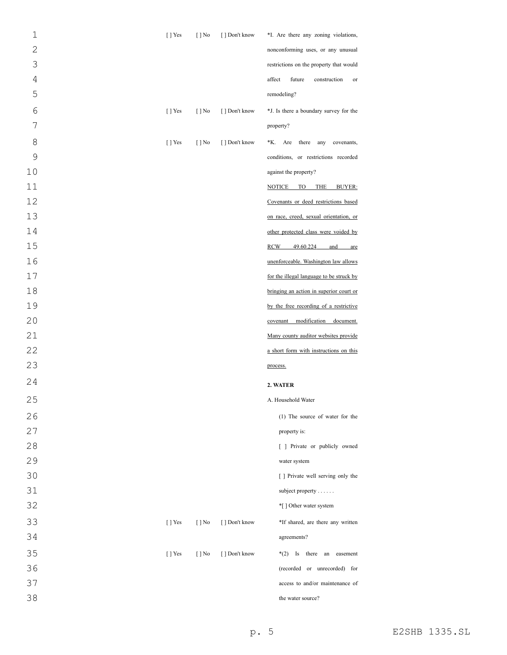| $\mathbf 1$    | [] Yes         | $[ ]$ No                 | [ ] Don't know | *I. Are there any zoning violations,     |
|----------------|----------------|--------------------------|----------------|------------------------------------------|
| $\overline{2}$ |                |                          |                | nonconforming uses, or any unusual       |
| 3              |                |                          |                | restrictions on the property that would  |
| $\sqrt{4}$     |                |                          |                | affect<br>future<br>construction<br>or   |
| 5              |                |                          |                | remodeling?                              |
| 6              | [] Yes         | $\lceil \cdot \rceil$ No | [] Don't know  | *J. Is there a boundary survey for the   |
| 7              |                |                          |                | property?                                |
| 8              | $[$ ] Yes      | $[$   No                 | [] Don't know  | Are<br>there any<br>*K.<br>covenants,    |
| 9              |                |                          |                | conditions, or restrictions recorded     |
| 10             |                |                          |                | against the property?                    |
| 11             |                |                          |                | NOTICE<br>TO T<br>THE<br><b>BUYER:</b>   |
| 12             |                |                          |                | Covenants or deed restrictions based     |
| 13             |                |                          |                | on race, creed, sexual orientation, or   |
| 14             |                |                          |                | other protected class were voided by     |
| 15             |                |                          |                | RCW<br>49.60.224<br>and<br>are           |
| 16             |                |                          |                | unenforceable. Washington law allows     |
| 17             |                |                          |                | for the illegal language to be struck by |
| 18             |                |                          |                | bringing an action in superior court or  |
| 19             |                |                          |                | by the free recording of a restrictive   |
| 20             |                |                          |                | covenant modification document.          |
| 21             |                |                          |                | Many county auditor websites provide     |
| 22             |                |                          |                | a short form with instructions on this   |
| 23             |                |                          |                | process.                                 |
| 24             |                |                          |                | 2. WATER                                 |
| 25             |                |                          |                | A. Household Water                       |
| 26             |                |                          |                | (1) The source of water for the          |
| 27             |                |                          |                | property is:                             |
| 28             |                |                          |                | [ ] Private or publicly owned            |
| 29             |                |                          |                | water system                             |
| 30             |                |                          |                | [ ] Private well serving only the        |
| 31             |                |                          |                | subject property                         |
| 32             |                |                          |                | *[] Other water system                   |
| 33             | $\lceil$   Yes | $\lceil \cdot \rceil$ No | [ ] Don't know | *If shared, are there any written        |
| 34             |                |                          |                | agreements?                              |
| 35             | [] Yes         | $\lceil \cdot \rceil$ No | [ ] Don't know | $*(2)$ Is there an easement              |
| 36             |                |                          |                | (recorded or unrecorded) for             |
| 37             |                |                          |                | access to and/or maintenance of          |
| 38             |                |                          |                | the water source?                        |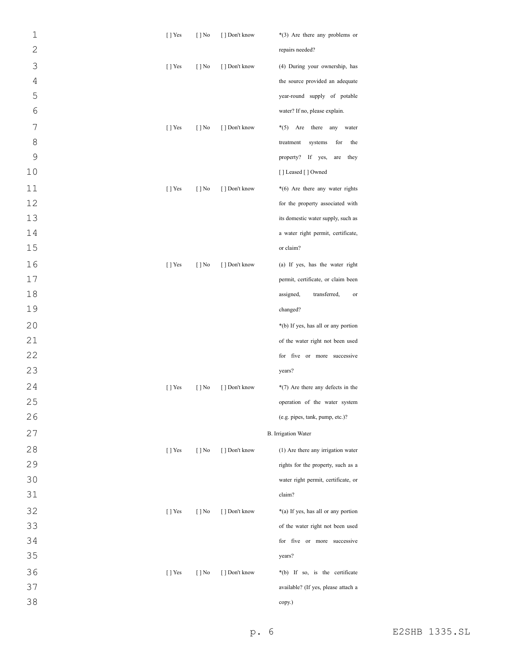| $1\,$          | $[$ T Yes      | $[ ]$ No | [ ] Don't know | $*(3)$ Are there any problems or    |
|----------------|----------------|----------|----------------|-------------------------------------|
| $\overline{2}$ |                |          |                | repairs needed?                     |
| 3              | $[$ ] Yes      | $[ ]$ No | [ ] Don't know | (4) During your ownership, has      |
| $\sqrt{4}$     |                |          |                | the source provided an adequate     |
| 5              |                |          |                | year-round supply of potable        |
| $6\,$          |                |          |                | water? If no, please explain.       |
| 7              | $\lceil$   Yes | $[ ]$ No | [] Don't know  | $*(5)$ Are<br>there any<br>water    |
| 8              |                |          |                | for<br>treatment<br>systems<br>the  |
| 9              |                |          |                | property? If yes,<br>they<br>are    |
| 10             |                |          |                | [] Leased [] Owned                  |
| 11             | $[$ ] Yes      | $[ ]$ No | [ ] Don't know | *(6) Are there any water rights     |
| 12             |                |          |                | for the property associated with    |
| 13             |                |          |                | its domestic water supply, such as  |
| 14             |                |          |                | a water right permit, certificate,  |
| 15             |                |          |                | or claim?                           |
| 16             | $[$ ] Yes      | $[ ]$ No | [ ] Don't know | (a) If yes, has the water right     |
| 17             |                |          |                | permit, certificate, or claim been  |
| $18$           |                |          |                | transferred,<br>assigned,<br>or     |
| 19             |                |          |                | changed?                            |
| 20             |                |          |                | *(b) If yes, has all or any portion |
| 21             |                |          |                | of the water right not been used    |
| 22             |                |          |                | for five or more successive         |
| 23             |                |          |                | years?                              |
| 24             | $[$ T Yes      | $[ ]$ No | [ ] Don't know | $*(7)$ Are there any defects in the |
| 25             |                |          |                | operation of the water system       |
| 26             |                |          |                | (e.g. pipes, tank, pump, etc.)?     |
| 27             |                |          |                | <b>B.</b> Irrigation Water          |
| 28             | $[$ ] Yes      | $[ ]$ No | [ ] Don't know | (1) Are there any irrigation water  |
| 29             |                |          |                | rights for the property, such as a  |
| 30             |                |          |                | water right permit, certificate, or |
| 31             |                |          |                | claim?                              |
| 32             | $[$ T Yes      | $[ ]$ No | [ ] Don't know | *(a) If yes, has all or any portion |
| 33             |                |          |                | of the water right not been used    |
| 34             |                |          |                | for five or more successive         |
| 35             |                |          |                | years?                              |
| 36             | $[$ ] Yes      | $[ ]$ No | [ ] Don't know | *(b) If so, is the certificate      |
| 37             |                |          |                | available? (If yes, please attach a |
| 38             |                |          |                | copy.)                              |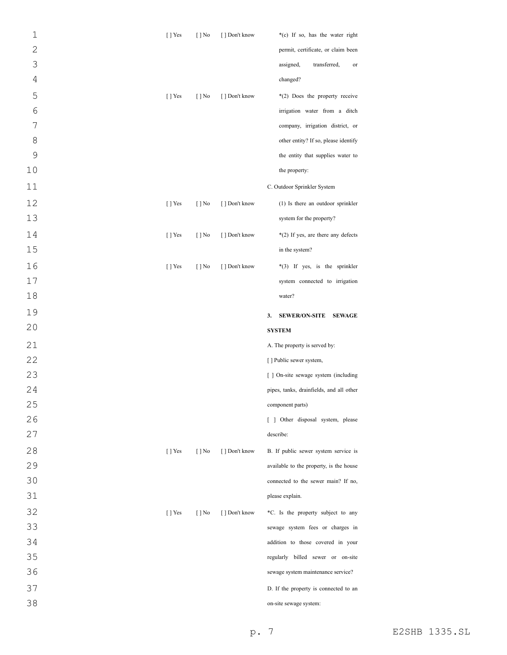| $\mathbf 1$    | [] Yes         | $[ ]$ No                 | [ ] Don't know | *(c) If so, has the water right             |
|----------------|----------------|--------------------------|----------------|---------------------------------------------|
| $\overline{2}$ |                |                          |                | permit, certificate, or claim been          |
| 3              |                |                          |                | assigned,<br>transferred,<br>or             |
| $\overline{4}$ |                |                          |                | changed?                                    |
| 5              | $[ ]$ Yes      | $[ ]$ No                 | [ ] Don't know | *(2) Does the property receive              |
| $6\,$          |                |                          |                | irrigation water from a ditch               |
| 7              |                |                          |                | company, irrigation district, or            |
| 8              |                |                          |                | other entity? If so, please identify        |
| $\mathsf 9$    |                |                          |                | the entity that supplies water to           |
| 10             |                |                          |                | the property:                               |
| 11             |                |                          |                | C. Outdoor Sprinkler System                 |
| 12             | $[ ]$ Yes      | $[ ]$ No                 | [ ] Don't know | (1) Is there an outdoor sprinkler           |
| 13             |                |                          |                | system for the property?                    |
| 14             | $[ ]$ Yes      | $[ ]$ No                 | [ ] Don't know | *(2) If yes, are there any defects          |
| 15             |                |                          |                | in the system?                              |
| 16             | [] Yes         | $[ ]$ No                 | [ ] Don't know | *(3) If yes, is the sprinkler               |
| 17             |                |                          |                | system connected to irrigation              |
| 18             |                |                          |                | water?                                      |
| 19             |                |                          |                |                                             |
|                |                |                          |                | 3.<br><b>SEWER/ON-SITE</b><br><b>SEWAGE</b> |
| 20             |                |                          |                | <b>SYSTEM</b>                               |
| 21             |                |                          |                | A. The property is served by:               |
| 22             |                |                          |                | [] Public sewer system,                     |
| 23             |                |                          |                | [ ] On-site sewage system (including        |
| 24             |                |                          |                | pipes, tanks, drainfields, and all other    |
| 25             |                |                          |                | component parts)                            |
| 26             |                |                          |                | [ ] Other disposal system, please           |
| 27             |                |                          |                | describe:                                   |
| 28             | $\lceil$   Yes | $\lceil \cdot \rceil$ No | [ ] Don't know | B. If public sewer system service is        |
| 29             |                |                          |                | available to the property, is the house     |
| 30             |                |                          |                | connected to the sewer main? If no,         |
| 31             |                |                          |                | please explain.                             |
| 32             | [] Yes         | $\lceil \cdot \rceil$ No | [ ] Don't know | *C. Is the property subject to any          |
| 33             |                |                          |                | sewage system fees or charges in            |
| 34             |                |                          |                | addition to those covered in your           |
| 35             |                |                          |                | regularly billed sewer or on-site           |
| 36             |                |                          |                | sewage system maintenance service?          |
| 37             |                |                          |                | D. If the property is connected to an       |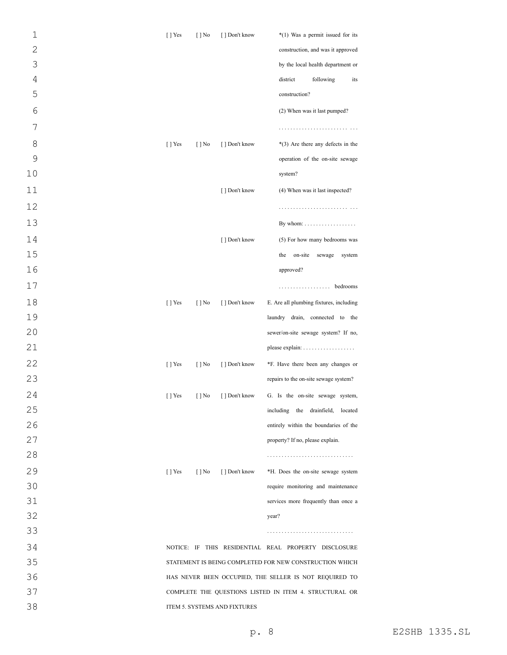| $\mathbf 1$    | $[$ T Yes             | $[ ]$ No                 | [ ] Don't know               | *(1) Was a permit issued for its                        |
|----------------|-----------------------|--------------------------|------------------------------|---------------------------------------------------------|
| $\overline{2}$ |                       |                          |                              | construction, and was it approved                       |
| 3              |                       |                          |                              | by the local health department or                       |
| 4              |                       |                          |                              | district<br>following<br>its                            |
| 5              |                       |                          |                              | construction?                                           |
| 6              |                       |                          |                              | (2) When was it last pumped?                            |
| 7              |                       |                          |                              |                                                         |
| 8              | $[$ T Yes             | $[$ ] No                 | [ ] Don't know               | $*(3)$ Are there any defects in the                     |
| 9              |                       |                          |                              | operation of the on-site sewage                         |
| 10             |                       |                          |                              | system?                                                 |
| 11             |                       |                          | [ ] Don't know               | (4) When was it last inspected?                         |
| 12             |                       |                          |                              |                                                         |
| 13             |                       |                          |                              | By whom: $\dots \dots \dots \dots \dots \dots$          |
| 14             |                       |                          | [ ] Don't know               | (5) For how many bedrooms was                           |
| 15             |                       |                          |                              | the<br>on-site sewage<br>system                         |
| 16             |                       |                          |                              | approved?                                               |
| 17             |                       |                          |                              | . bedrooms                                              |
| 18             | $[$ T Yes             | $\lceil \cdot \rceil$ No | [ ] Don't know               | E. Are all plumbing fixtures, including                 |
| 19             |                       |                          |                              | laundry drain, connected to the                         |
| 20             |                       |                          |                              | sewer/on-site sewage system? If no,                     |
| 21             |                       |                          |                              |                                                         |
| 22             | $[$ T Yes             | $[ ]$ No                 | [ ] Don't know               | *F. Have there been any changes or                      |
| 23             |                       |                          |                              | repairs to the on-site sewage system?                   |
| 24             | $\left[\ \right]$ Yes | $\left[\ \right]$ No     | [ ] Don't know               | G. Is the on-site sewage system,                        |
| 25             |                       |                          |                              | including the drainfield, located                       |
| 26             |                       |                          |                              | entirely within the boundaries of the                   |
| 27             |                       |                          |                              | property? If no, please explain.                        |
| 28             |                       |                          |                              |                                                         |
| 29             | $\lceil$   Yes        | $\lceil \cdot \rceil$ No | [ ] Don't know               | *H. Does the on-site sewage system                      |
| 30             |                       |                          |                              | require monitoring and maintenance                      |
| 31             |                       |                          |                              | services more frequently than once a                    |
| 32             |                       |                          |                              | year?                                                   |
| 33             |                       |                          |                              |                                                         |
| 34             |                       |                          |                              | NOTICE: IF THIS RESIDENTIAL REAL PROPERTY DISCLOSURE    |
| 35             |                       |                          |                              | STATEMENT IS BEING COMPLETED FOR NEW CONSTRUCTION WHICH |
| 36             |                       |                          |                              | HAS NEVER BEEN OCCUPIED, THE SELLER IS NOT REQUIRED TO  |
| 37             |                       |                          |                              | COMPLETE THE QUESTIONS LISTED IN ITEM 4. STRUCTURAL OR  |
| 38             |                       |                          | ITEM 5. SYSTEMS AND FIXTURES |                                                         |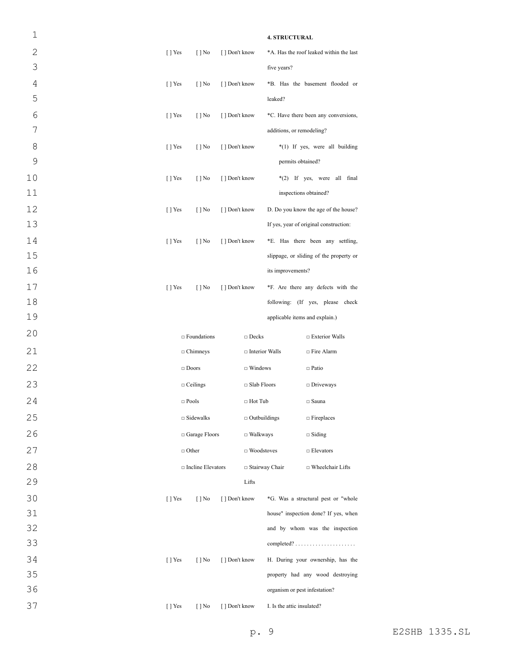| 1            |           |                          |                |                       | <b>4. STRUCTURAL</b>           |                                         |
|--------------|-----------|--------------------------|----------------|-----------------------|--------------------------------|-----------------------------------------|
| $\mathbf{2}$ | $[$ T Yes | $\lceil \cdot \rceil$ No | [] Don't know  |                       |                                | *A. Has the roof leaked within the last |
| 3            |           |                          |                |                       | five years?                    |                                         |
| 4            | $[$ T Yes | $[ ]$ No                 | [] Don't know  |                       |                                | *B. Has the basement flooded or         |
| 5            |           |                          |                |                       | leaked?                        |                                         |
| 6            | $[$ T Yes | $[$ ] No                 | [] Don't know  |                       |                                | *C. Have there been any conversions,    |
| 7            |           |                          |                |                       | additions, or remodeling?      |                                         |
| 8            | $[$ T Yes | $[ ]$ No                 | [ ] Don't know |                       |                                | *(1) If yes, were all building          |
| 9            |           |                          |                |                       | permits obtained?              |                                         |
| 10           | $[$ T Yes | $[ ]$ No                 | [ ] Don't know |                       |                                | *(2) If yes, were all final             |
| 11           |           |                          |                |                       |                                | inspections obtained?                   |
| 12           | $[$ T Yes | $[$ ] No                 | [ ] Don't know |                       |                                | D. Do you know the age of the house?    |
| 13           |           |                          |                |                       |                                | If yes, year of original construction:  |
| 14           | $[$ T Yes | $[$ ] No                 | [ ] Don't know |                       |                                | *E. Has there been any settling,        |
| 15           |           |                          |                |                       |                                | slippage, or sliding of the property or |
| 16           |           |                          |                |                       | its improvements?              |                                         |
| 17           | $[$ T Yes | $[ ]$ No                 | [] Don't know  |                       |                                | *F. Are there any defects with the      |
| 18           |           |                          |                |                       |                                | following: (If yes, please check        |
| 19           |           |                          |                |                       | applicable items and explain.) |                                         |
| 20           |           | $\Box$ Foundations       |                | $\Box$ Decks          |                                | □ Exterior Walls                        |
| 21           |           | $\Box$ Chimneys          |                | $\Box$ Interior Walls |                                | □ Fire Alarm                            |
| 22           |           | $\Box$ Doors             |                | $\Box$ Windows        |                                | $\Box$ Patio                            |
|              |           |                          |                |                       |                                |                                         |
| 23           |           | $\Box$ Ceilings          |                | □ Slab Floors         |                                | $\Box$ Driveways                        |
| 24           |           | $\Box$ Pools             |                | $\Box$ Hot Tub        |                                | $\Box$ Sauna                            |
| 25           |           | $\Box$ Sidewalks         |                | $\Box$ Outbuildings   |                                | $\Box$ Fireplaces                       |
| 26           |           | $\Box$ Garage Floors     |                | $\Box$ Walkways       |                                | $\Box$ Siding                           |
| 27           |           | $\Box$ Other             |                | $\Box$ Woodstoves     |                                | $\Box$ Elevators                        |
| 28           |           | □ Incline Elevators      |                | □ Stairway Chair      |                                | □ Wheelchair Lifts                      |
| 29           |           |                          |                | Lifts                 |                                |                                         |
| 30           | [] Yes    | $[ ]$ No                 | [ ] Don't know |                       |                                | *G. Was a structural pest or "whole     |
| 31           |           |                          |                |                       |                                | house" inspection done? If yes, when    |
| 32           |           |                          |                |                       |                                | and by whom was the inspection          |
| 33           |           |                          |                |                       |                                |                                         |
| 34           | $[ ]$ Yes | $[$ ] No                 | [ ] Don't know |                       |                                | H. During your ownership, has the       |
| 35           |           |                          |                |                       |                                | property had any wood destroying        |
| 36           |           |                          |                |                       | organism or pest infestation?  |                                         |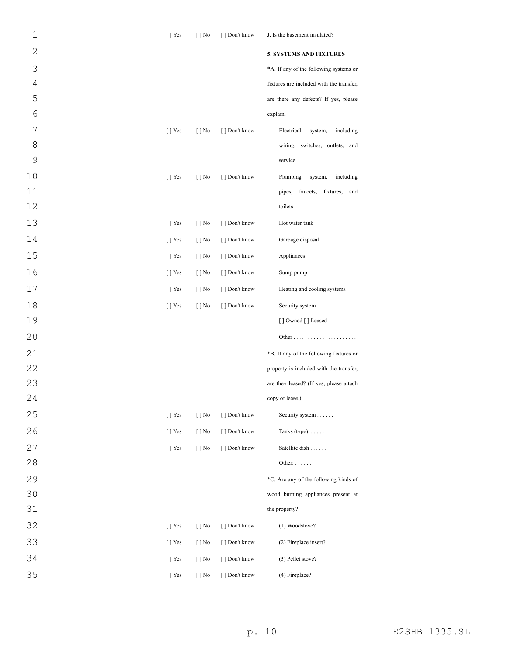| $1\,$          | $\lceil$   Yes | $\lceil \cdot \rceil$ No | [ ] Don't know | J. Is the basement insulated?            |
|----------------|----------------|--------------------------|----------------|------------------------------------------|
| $\mathbf{2}$   |                |                          |                | <b>5. SYSTEMS AND FIXTURES</b>           |
| 3              |                |                          |                | *A. If any of the following systems or   |
| $\overline{4}$ |                |                          |                | fixtures are included with the transfer, |
| 5              |                |                          |                | are there any defects? If yes, please    |
| 6              |                |                          |                | explain.                                 |
| 7              | $[$ T Yes      | $[$ ] No                 | [ ] Don't know | Electrical<br>system,<br>including       |
| 8              |                |                          |                | wiring, switches, outlets, and           |
| 9              |                |                          |                | service                                  |
| 10             | [] Yes         | $[ ]$ No                 | [ ] Don't know | Plumbing<br>system,<br>including         |
| 11             |                |                          |                | faucets, fixtures, and<br>pipes,         |
| 12             |                |                          |                | toilets                                  |
| 13             | [] Yes         | $[ ]$ No                 | [ ] Don't know | Hot water tank                           |
| 14             | $[$ T Yes      | $[$ ] No                 | [] Don't know  | Garbage disposal                         |
| 15             | [] Yes         | $[ ]$ No                 | [] Don't know  | Appliances                               |
| 16             | $[$ T Yes      | $[$ ] No                 | [ ] Don't know | Sump pump                                |
| 17             | $[$ T Yes      | $[$ ] No                 | [ ] Don't know | Heating and cooling systems              |
| 18             | [] Yes         | $[ ]$ No                 | [ ] Don't know | Security system                          |
| 19             |                |                          |                | [] Owned [] Leased                       |
| 20             |                |                          |                |                                          |
| 21             |                |                          |                | *B. If any of the following fixtures or  |
| 22             |                |                          |                | property is included with the transfer,  |
| 23             |                |                          |                | are they leased? (If yes, please attach  |
| 24             |                |                          |                | copy of lease.)                          |
| 25             | [ ] Yes        | $[ ]$ No                 | [ ] Don't know | Security system                          |
| 26             | [ ] Yes        | $[ ]$ No                 | [ ] Don't know | Tanks (type): $\dots$ .                  |
| 27             | $[$ T Yes      | $[ ]$ No                 | [] Don't know  | Satellite dish                           |
| 28             |                |                          |                | Other: $\dots$                           |
| 29             |                |                          |                | *C. Are any of the following kinds of    |
| 30             |                |                          |                | wood burning appliances present at       |
| 31             |                |                          |                | the property?                            |
| 32             | [ ] Yes        | $[ ]$ No                 | [ ] Don't know | (1) Woodstove?                           |
| 33             | $[$ T Yes      | $[$ ] No                 | [ ] Don't know | (2) Fireplace insert?                    |
| 34             | [ ] Yes        | $\lceil \cdot \rceil$ No | [ ] Don't know | (3) Pellet stove?                        |
| 35             | [ ] Yes        | $[ ]$ No                 | [] Don't know  | (4) Fireplace?                           |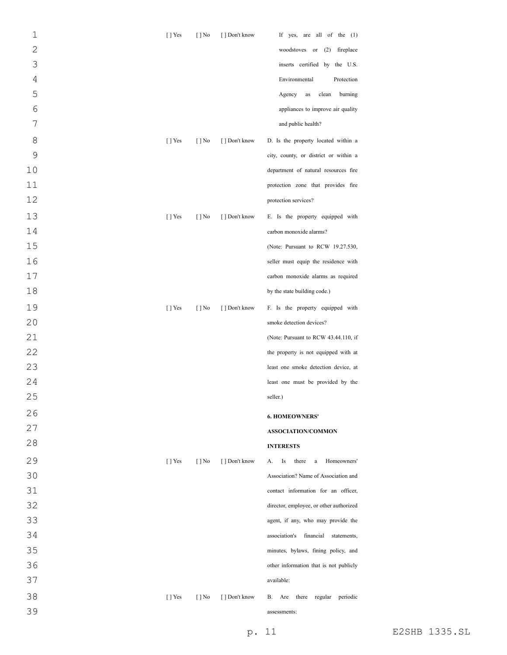| $\mathbf 1$    | [] Yes    | $[ ]$ No                 | [] Don't know  | If yes, are all of the (1)                   |
|----------------|-----------|--------------------------|----------------|----------------------------------------------|
| $\overline{2}$ |           |                          |                | woodstoves or (2) fireplace                  |
| 3              |           |                          |                | inserts certified by the U.S.                |
| $\sqrt{4}$     |           |                          |                | Environmental<br>Protection                  |
| 5              |           |                          |                | Agency<br>clean<br>burning<br>as             |
| $6\,$          |           |                          |                | appliances to improve air quality            |
| 7              |           |                          |                | and public health?                           |
| 8              | $[$ T Yes | $\lceil \cdot \rceil$ No | [ ] Don't know | D. Is the property located within a          |
| 9              |           |                          |                | city, county, or district or within a        |
| 10             |           |                          |                | department of natural resources fire         |
| 11             |           |                          |                | protection zone that provides fire           |
| 12             |           |                          |                | protection services?                         |
| 13             | $[ ]$ Yes | $\lceil \cdot \rceil$ No | [ ] Don't know | E. Is the property equipped with             |
| 14             |           |                          |                | carbon monoxide alarms?                      |
| 15             |           |                          |                | (Note: Pursuant to RCW 19.27.530,            |
| 16             |           |                          |                | seller must equip the residence with         |
| 17             |           |                          |                | carbon monoxide alarms as required           |
| 18             |           |                          |                | by the state building code.)                 |
| 19             | [] Yes    | $[ ]$ No                 | [ ] Don't know | F. Is the property equipped with             |
| 20             |           |                          |                | smoke detection devices?                     |
| 21             |           |                          |                | (Note: Pursuant to RCW 43.44.110, if         |
| 22             |           |                          |                | the property is not equipped with at         |
| 23             |           |                          |                | least one smoke detection device, at         |
| 24             |           |                          |                | least one must be provided by the            |
| 25             |           |                          |                | seller.)                                     |
| 26             |           |                          |                | <b>6. HOMEOWNERS'</b>                        |
| 27             |           |                          |                | ASSOCIATION/COMMON                           |
| 28             |           |                          |                | <b>INTERESTS</b>                             |
| 29             | $[$ T Yes | $\lceil \cdot \rceil$ No | [] Don't know  | Is<br>there<br>Homeowners'<br>А.<br>$\rm{a}$ |
| 30             |           |                          |                | Association? Name of Association and         |
| 31             |           |                          |                | contact information for an officer,          |
| 32             |           |                          |                | director, employee, or other authorized      |
| 33             |           |                          |                | agent, if any, who may provide the           |
| 34             |           |                          |                | association's<br>financial<br>statements,    |
| 35             |           |                          |                | minutes, bylaws, fining policy, and          |
| 36             |           |                          |                | other information that is not publicly       |
| 37             |           |                          |                | available:                                   |
| 38             | [] Yes    | $\lceil \cdot \rceil$ No | [ ] Don't know | there regular<br>periodic<br>В.<br>Are       |
| 39             |           |                          |                | assessments:                                 |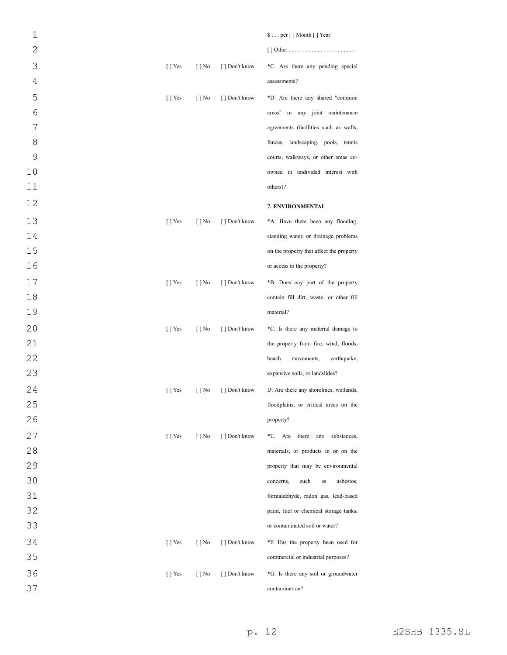| $\mathbf{1}$   |           |                          |                | \$per [] Month [] Year                   |
|----------------|-----------|--------------------------|----------------|------------------------------------------|
| $\overline{2}$ |           |                          |                |                                          |
| 3              | $[$ T Yes | $\lceil \cdot \rceil$ No | [ ] Don't know | *C. Are there any pending special        |
| $\overline{4}$ |           |                          |                | assessments?                             |
| 5              | $[$ T Yes | $[$   No                 | [ ] Don't know | *D. Are there any shared "common         |
| 6              |           |                          |                | areas" or any joint maintenance          |
| $\overline{7}$ |           |                          |                | agreements (facilities such as walls,    |
| 8              |           |                          |                | fences, landscaping, pools, tennis       |
| $\mathcal{G}$  |           |                          |                | courts, walkways, or other areas co-     |
| 10             |           |                          |                | owned in undivided interest with         |
| 11             |           |                          |                | others)?                                 |
| 12             |           |                          |                | 7. ENVIRONMENTAL                         |
| 13             | $[$ T Yes | $[ ]$ No                 | [ ] Don't know | *A. Have there been any flooding,        |
| 14             |           |                          |                | standing water, or drainage problems     |
| 15             |           |                          |                | on the property that affect the property |
| 16             |           |                          |                | or access to the property?               |
| 17             | $[$ T Yes | $[ ]$ No                 | [ ] Don't know | *B. Does any part of the property        |
| 18             |           |                          |                | contain fill dirt, waste, or other fill  |
| 19             |           |                          |                | material?                                |
| 20             | $[$ T Yes | $\lceil \cdot \rceil$ No | [ ] Don't know | *C. Is there any material damage to      |
| 21             |           |                          |                | the property from fire, wind, floods,    |
| 22             |           |                          |                | beach<br>earthquake,<br>movements,       |
| 23             |           |                          |                | expansive soils, or landslides?          |
| 24             | $[$ T Yes | $[ ]$ No                 | [ ] Don't know | D. Are there any shorelines, wetlands,   |
| 25             |           |                          |                | floodplains, or critical areas on the    |
| 26             |           |                          |                | property?                                |
| 27             | $[$ T Yes | $[ ]$ No                 | [ ] Don't know | *E.<br>Are<br>there any substances,      |
| 28             |           |                          |                | materials, or products in or on the      |
| 29             |           |                          |                | property that may be environmental       |
| 30             |           |                          |                | such<br>asbestos,<br>concerns,<br>as     |
| 31             |           |                          |                | formaldehyde, radon gas, lead-based      |
| 32             |           |                          |                | paint, fuel or chemical storage tanks,   |
| 33             |           |                          |                | or contaminated soil or water?           |
| 34             | $[$ T Yes | $\lceil \cdot \rceil$ No | [ ] Don't know | *F. Has the property been used for       |
| 35             |           |                          |                | commercial or industrial purposes?       |
| 36             | $[$ T Yes | $[ ]$ No                 | [ ] Don't know | *G. Is there any soil or groundwater     |
| 37             |           |                          |                | contamination?                           |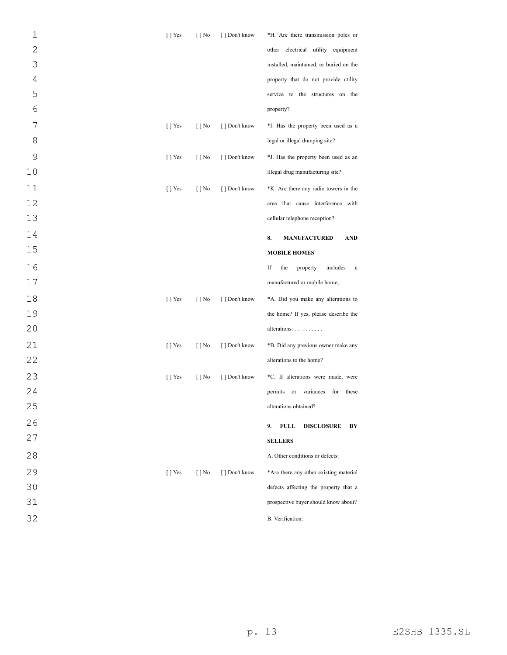| $\mathbf 1$    | [] Yes    | $[ ]$ No                 | [ ] Don't know | *H. Are there transmission poles or           |
|----------------|-----------|--------------------------|----------------|-----------------------------------------------|
| $\overline{2}$ |           |                          |                | other electrical utility equipment            |
| 3              |           |                          |                | installed, maintained, or buried on the       |
| $\overline{4}$ |           |                          |                | property that do not provide utility          |
| 5              |           |                          |                | service to the structures on the              |
| 6              |           |                          |                | property?                                     |
| 7              | $[ ]$ Yes | $[ ]$ No                 | [ ] Don't know | *I. Has the property been used as a           |
| 8              |           |                          |                | legal or illegal dumping site?                |
| 9              | $[$ T Yes | $[ ]$ No                 | [ ] Don't know | *J. Has the property been used as an          |
| 10             |           |                          |                | illegal drug manufacturing site?              |
| 11             | [] Yes    | $[ ]$ No                 | [ ] Don't know | *K. Are there any radio towers in the         |
| 12             |           |                          |                | area that cause interference with             |
| 13             |           |                          |                | cellular telephone reception?                 |
| 14             |           |                          |                | 8.<br><b>MANUFACTURED</b><br><b>AND</b>       |
| 15             |           |                          |                | <b>MOBILE HOMES</b>                           |
| 16             |           |                          |                | If<br>the<br>property<br>includes<br>$\rm{a}$ |
| $17$           |           |                          |                | manufactured or mobile home,                  |
| 18             | [] Yes    | $[ ]$ No                 | [ ] Don't know | *A. Did you make any alterations to           |
| 19             |           |                          |                | the home? If yes, please describe the         |
| 20             |           |                          |                | alterations:                                  |
| 21             | [] Yes    | $[ ]$ No                 | [ ] Don't know | *B. Did any previous owner make any           |
| 22             |           |                          |                | alterations to the home?                      |
| 23             | $[ ]$ Yes | $[ ]$ No                 | [ ] Don't know | *C. If alterations were made, were            |
| 24             |           |                          |                | variances<br>these<br>permits<br>or<br>for    |
| 25             |           |                          |                | alterations obtained?                         |
| 26             |           |                          |                | <b>FULL</b><br>9.<br><b>DISCLOSURE</b><br>BY  |
| 27             |           |                          |                | <b>SELLERS</b>                                |
| 28             |           |                          |                | A. Other conditions or defects:               |
| 29             | [ ] Yes   | $\lceil \cdot \rceil$ No | [] Don't know  | *Are there any other existing material        |
| 30             |           |                          |                | defects affecting the property that a         |
| 31             |           |                          |                | prospective buyer should know about?          |
| 32             |           |                          |                | B. Verification:                              |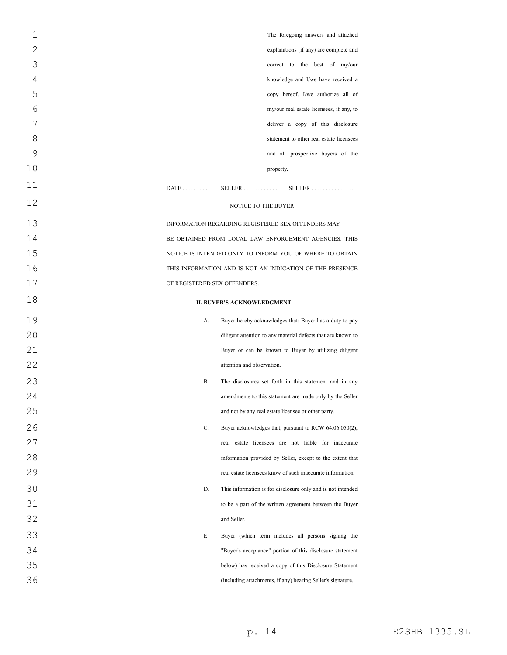| 1  | The foregoing answers and attached                                |
|----|-------------------------------------------------------------------|
| 2  | explanations (if any) are complete and                            |
| 3  | correct to the best of my/our                                     |
| 4  | knowledge and I/we have received a                                |
| 5  | copy hereof. I/we authorize all of                                |
| 6  | my/our real estate licensees, if any, to                          |
| 7  | deliver a copy of this disclosure                                 |
| 8  | statement to other real estate licensees                          |
| 9  | and all prospective buyers of the                                 |
| 10 | property.                                                         |
| 11 | SELLER<br>$DATE$<br>$SELLER$                                      |
| 12 | NOTICE TO THE BUYER                                               |
| 13 | INFORMATION REGARDING REGISTERED SEX OFFENDERS MAY                |
| 14 | BE OBTAINED FROM LOCAL LAW ENFORCEMENT AGENCIES. THIS             |
| 15 | NOTICE IS INTENDED ONLY TO INFORM YOU OF WHERE TO OBTAIN          |
| 16 | THIS INFORMATION AND IS NOT AN INDICATION OF THE PRESENCE         |
| 17 | OF REGISTERED SEX OFFENDERS.                                      |
| 18 | <b>II. BUYER'S ACKNOWLEDGMENT</b>                                 |
| 19 | А.<br>Buyer hereby acknowledges that: Buyer has a duty to pay     |
| 20 | diligent attention to any material defects that are known to      |
| 21 | Buyer or can be known to Buyer by utilizing diligent              |
| 22 | attention and observation.                                        |
| 23 | В.<br>The disclosures set forth in this statement and in any      |
| 24 | amendments to this statement are made only by the Seller          |
| 25 | and not by any real estate licensee or other party.               |
| 26 | C.<br>Buyer acknowledges that, pursuant to RCW 64.06.050(2),      |
| 27 | real estate licensees are not liable for inaccurate               |
| 28 | information provided by Seller, except to the extent that         |
| 29 | real estate licensees know of such inaccurate information.        |
| 30 | D.<br>This information is for disclosure only and is not intended |
| 31 | to be a part of the written agreement between the Buyer           |
| 32 | and Seller.                                                       |
| 33 | Е.<br>Buyer (which term includes all persons signing the          |
| 34 | "Buyer's acceptance" portion of this disclosure statement         |
| 35 | below) has received a copy of this Disclosure Statement           |
| 36 | (including attachments, if any) bearing Seller's signature.       |
|    |                                                                   |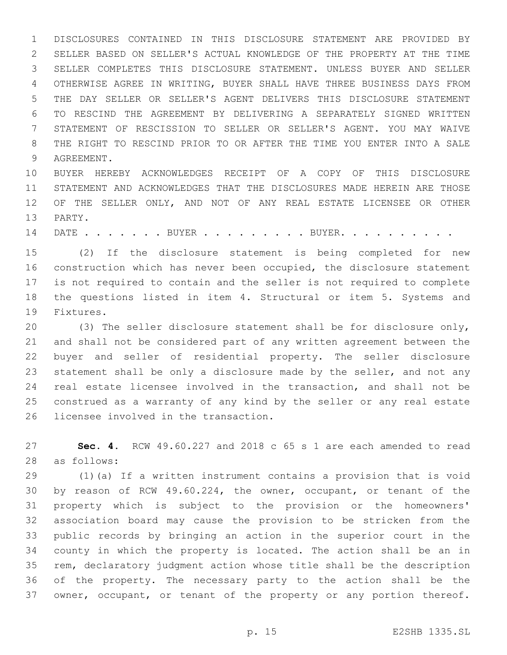DISCLOSURES CONTAINED IN THIS DISCLOSURE STATEMENT ARE PROVIDED BY SELLER BASED ON SELLER'S ACTUAL KNOWLEDGE OF THE PROPERTY AT THE TIME SELLER COMPLETES THIS DISCLOSURE STATEMENT. UNLESS BUYER AND SELLER OTHERWISE AGREE IN WRITING, BUYER SHALL HAVE THREE BUSINESS DAYS FROM THE DAY SELLER OR SELLER'S AGENT DELIVERS THIS DISCLOSURE STATEMENT TO RESCIND THE AGREEMENT BY DELIVERING A SEPARATELY SIGNED WRITTEN STATEMENT OF RESCISSION TO SELLER OR SELLER'S AGENT. YOU MAY WAIVE THE RIGHT TO RESCIND PRIOR TO OR AFTER THE TIME YOU ENTER INTO A SALE 9 AGREEMENT.

 BUYER HEREBY ACKNOWLEDGES RECEIPT OF A COPY OF THIS DISCLOSURE STATEMENT AND ACKNOWLEDGES THAT THE DISCLOSURES MADE HEREIN ARE THOSE OF THE SELLER ONLY, AND NOT OF ANY REAL ESTATE LICENSEE OR OTHER 13 PARTY.

14 DATE . . . . . . BUYER . . . . . . . . BUYER. . . . . . . . . .

 (2) If the disclosure statement is being completed for new construction which has never been occupied, the disclosure statement is not required to contain and the seller is not required to complete 18 the questions listed in item 4. Structural or item 5. Systems and 19 Fixtures.

 (3) The seller disclosure statement shall be for disclosure only, and shall not be considered part of any written agreement between the buyer and seller of residential property. The seller disclosure 23 statement shall be only a disclosure made by the seller, and not any real estate licensee involved in the transaction, and shall not be construed as a warranty of any kind by the seller or any real estate 26 licensee involved in the transaction.

 **Sec. 4.** RCW 49.60.227 and 2018 c 65 s 1 are each amended to read 28 as follows:

 (1)(a) If a written instrument contains a provision that is void by reason of RCW 49.60.224, the owner, occupant, or tenant of the property which is subject to the provision or the homeowners' association board may cause the provision to be stricken from the public records by bringing an action in the superior court in the county in which the property is located. The action shall be an in rem, declaratory judgment action whose title shall be the description of the property. The necessary party to the action shall be the owner, occupant, or tenant of the property or any portion thereof.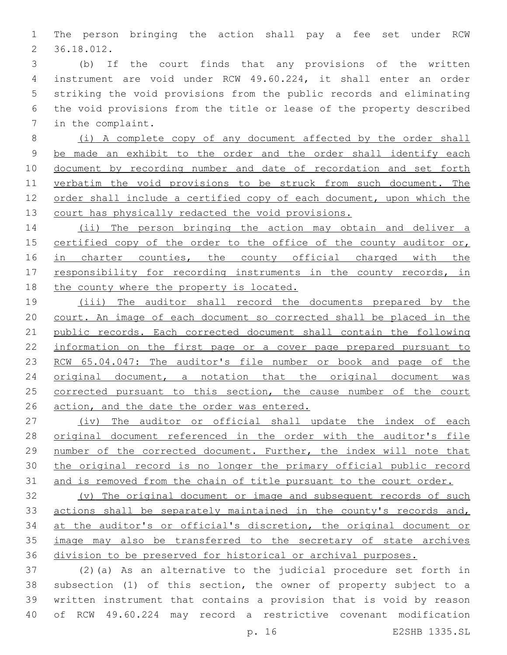The person bringing the action shall pay a fee set under RCW 36.18.012.2

 (b) If the court finds that any provisions of the written instrument are void under RCW 49.60.224, it shall enter an order striking the void provisions from the public records and eliminating the void provisions from the title or lease of the property described 7 in the complaint.

 (i) A complete copy of any document affected by the order shall be made an exhibit to the order and the order shall identify each 10 document by recording number and date of recordation and set forth 11 verbatim the void provisions to be struck from such document. The order shall include a certified copy of each document, upon which the court has physically redacted the void provisions.

14 (ii) The person bringing the action may obtain and deliver a 15 certified copy of the order to the office of the county auditor or, 16 in charter counties, the county official charged with the 17 responsibility for recording instruments in the county records, in 18 the county where the property is located.

 (iii) The auditor shall record the documents prepared by the court. An image of each document so corrected shall be placed in the public records. Each corrected document shall contain the following information on the first page or a cover page prepared pursuant to 23 RCW 65.04.047: The auditor's file number or book and page of the original document, a notation that the original document was corrected pursuant to this section, the cause number of the court action, and the date the order was entered.

 (iv) The auditor or official shall update the index of each original document referenced in the order with the auditor's file number of the corrected document. Further, the index will note that the original record is no longer the primary official public record 31 and is removed from the chain of title pursuant to the court order.

 (v) The original document or image and subsequent records of such actions shall be separately maintained in the county's records and, at the auditor's or official's discretion, the original document or image may also be transferred to the secretary of state archives division to be preserved for historical or archival purposes.

 (2)(a) As an alternative to the judicial procedure set forth in subsection (1) of this section, the owner of property subject to a written instrument that contains a provision that is void by reason of RCW 49.60.224 may record a restrictive covenant modification

p. 16 E2SHB 1335.SL